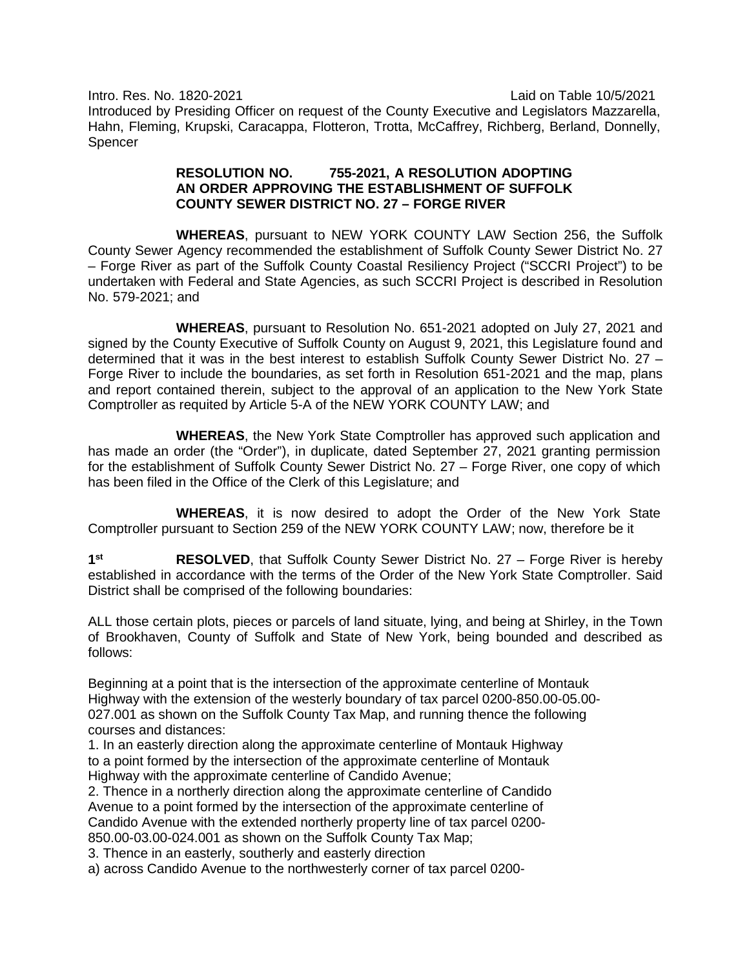Intro. Res. No. 1820-2021 Laid on Table 10/5/2021 Introduced by Presiding Officer on request of the County Executive and Legislators Mazzarella, Hahn, Fleming, Krupski, Caracappa, Flotteron, Trotta, McCaffrey, Richberg, Berland, Donnelly, Spencer

## **RESOLUTION NO. 755-2021, A RESOLUTION ADOPTING AN ORDER APPROVING THE ESTABLISHMENT OF SUFFOLK COUNTY SEWER DISTRICT NO. 27 – FORGE RIVER**

**WHEREAS**, pursuant to NEW YORK COUNTY LAW Section 256, the Suffolk County Sewer Agency recommended the establishment of Suffolk County Sewer District No. 27 – Forge River as part of the Suffolk County Coastal Resiliency Project ("SCCRI Project") to be undertaken with Federal and State Agencies, as such SCCRI Project is described in Resolution No. 579-2021; and

**WHEREAS**, pursuant to Resolution No. 651-2021 adopted on July 27, 2021 and signed by the County Executive of Suffolk County on August 9, 2021, this Legislature found and determined that it was in the best interest to establish Suffolk County Sewer District No. 27 – Forge River to include the boundaries, as set forth in Resolution 651-2021 and the map, plans and report contained therein, subject to the approval of an application to the New York State Comptroller as requited by Article 5-A of the NEW YORK COUNTY LAW; and

**WHEREAS**, the New York State Comptroller has approved such application and has made an order (the "Order"), in duplicate, dated September 27, 2021 granting permission for the establishment of Suffolk County Sewer District No. 27 – Forge River, one copy of which has been filed in the Office of the Clerk of this Legislature; and

**WHEREAS**, it is now desired to adopt the Order of the New York State Comptroller pursuant to Section 259 of the NEW YORK COUNTY LAW; now, therefore be it

**1st RESOLVED**, that Suffolk County Sewer District No. 27 – Forge River is hereby established in accordance with the terms of the Order of the New York State Comptroller. Said District shall be comprised of the following boundaries:

ALL those certain plots, pieces or parcels of land situate, lying, and being at Shirley, in the Town of Brookhaven, County of Suffolk and State of New York, being bounded and described as follows:

Beginning at a point that is the intersection of the approximate centerline of Montauk Highway with the extension of the westerly boundary of tax parcel 0200-850.00-05.00- 027.001 as shown on the Suffolk County Tax Map, and running thence the following courses and distances:

1. In an easterly direction along the approximate centerline of Montauk Highway to a point formed by the intersection of the approximate centerline of Montauk Highway with the approximate centerline of Candido Avenue;

2. Thence in a northerly direction along the approximate centerline of Candido Avenue to a point formed by the intersection of the approximate centerline of Candido Avenue with the extended northerly property line of tax parcel 0200- 850.00-03.00-024.001 as shown on the Suffolk County Tax Map;

3. Thence in an easterly, southerly and easterly direction

a) across Candido Avenue to the northwesterly corner of tax parcel 0200-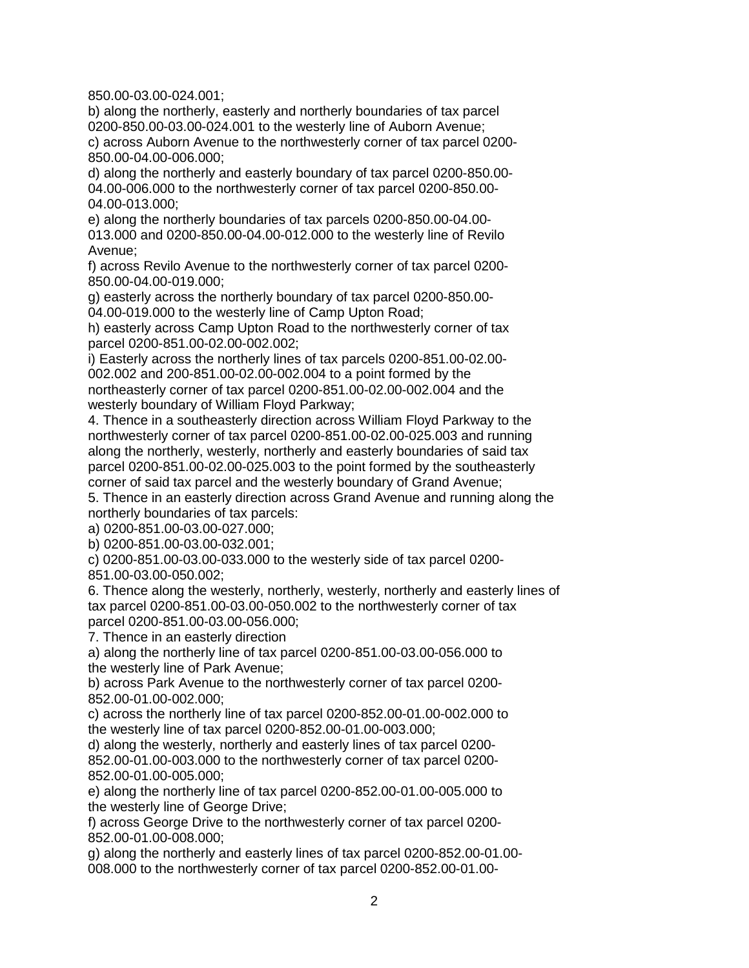850.00-03.00-024.001;

b) along the northerly, easterly and northerly boundaries of tax parcel 0200-850.00-03.00-024.001 to the westerly line of Auborn Avenue; c) across Auborn Avenue to the northwesterly corner of tax parcel 0200- 850.00-04.00-006.000;

d) along the northerly and easterly boundary of tax parcel 0200-850.00- 04.00-006.000 to the northwesterly corner of tax parcel 0200-850.00- 04.00-013.000;

e) along the northerly boundaries of tax parcels 0200-850.00-04.00- 013.000 and 0200-850.00-04.00-012.000 to the westerly line of Revilo Avenue;

f) across Revilo Avenue to the northwesterly corner of tax parcel 0200- 850.00-04.00-019.000;

g) easterly across the northerly boundary of tax parcel 0200-850.00- 04.00-019.000 to the westerly line of Camp Upton Road;

h) easterly across Camp Upton Road to the northwesterly corner of tax parcel 0200-851.00-02.00-002.002;

i) Easterly across the northerly lines of tax parcels 0200-851.00-02.00- 002.002 and 200-851.00-02.00-002.004 to a point formed by the northeasterly corner of tax parcel 0200-851.00-02.00-002.004 and the westerly boundary of William Floyd Parkway;

4. Thence in a southeasterly direction across William Floyd Parkway to the northwesterly corner of tax parcel 0200-851.00-02.00-025.003 and running along the northerly, westerly, northerly and easterly boundaries of said tax parcel 0200-851.00-02.00-025.003 to the point formed by the southeasterly corner of said tax parcel and the westerly boundary of Grand Avenue;

5. Thence in an easterly direction across Grand Avenue and running along the northerly boundaries of tax parcels:

a) 0200-851.00-03.00-027.000;

b) 0200-851.00-03.00-032.001;

c) 0200-851.00-03.00-033.000 to the westerly side of tax parcel 0200- 851.00-03.00-050.002;

6. Thence along the westerly, northerly, westerly, northerly and easterly lines of tax parcel 0200-851.00-03.00-050.002 to the northwesterly corner of tax parcel 0200-851.00-03.00-056.000;

7. Thence in an easterly direction

a) along the northerly line of tax parcel 0200-851.00-03.00-056.000 to the westerly line of Park Avenue;

b) across Park Avenue to the northwesterly corner of tax parcel 0200- 852.00-01.00-002.000;

c) across the northerly line of tax parcel 0200-852.00-01.00-002.000 to the westerly line of tax parcel 0200-852.00-01.00-003.000;

d) along the westerly, northerly and easterly lines of tax parcel 0200- 852.00-01.00-003.000 to the northwesterly corner of tax parcel 0200- 852.00-01.00-005.000;

e) along the northerly line of tax parcel 0200-852.00-01.00-005.000 to the westerly line of George Drive;

f) across George Drive to the northwesterly corner of tax parcel 0200- 852.00-01.00-008.000;

g) along the northerly and easterly lines of tax parcel 0200-852.00-01.00- 008.000 to the northwesterly corner of tax parcel 0200-852.00-01.00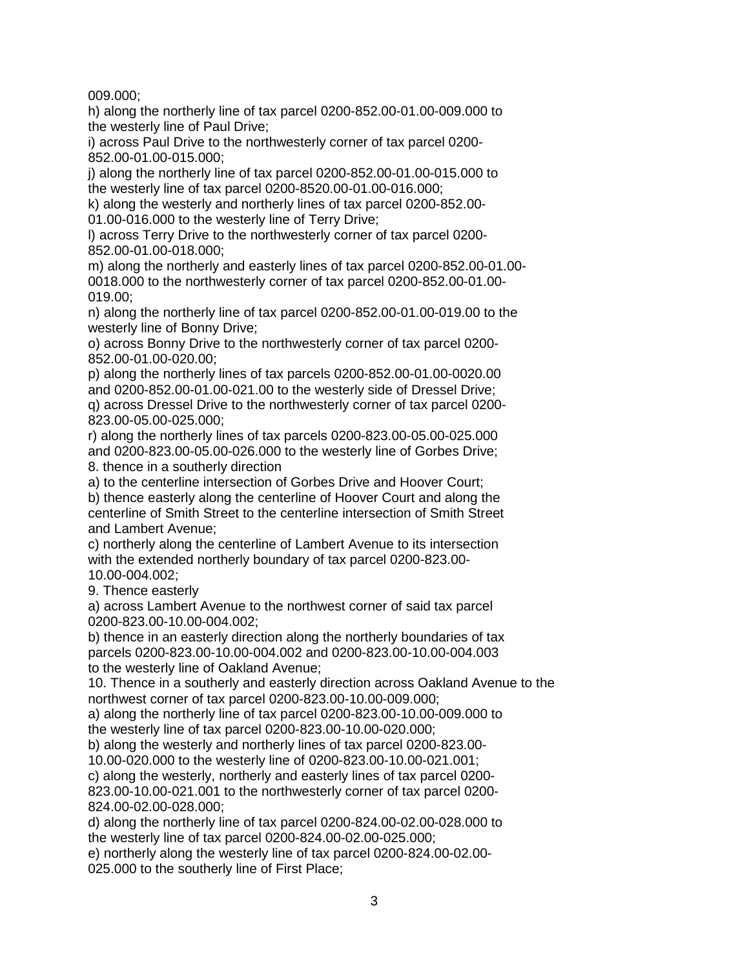009.000;

h) along the northerly line of tax parcel 0200-852.00-01.00-009.000 to the westerly line of Paul Drive;

i) across Paul Drive to the northwesterly corner of tax parcel 0200- 852.00-01.00-015.000;

j) along the northerly line of tax parcel 0200-852.00-01.00-015.000 to the westerly line of tax parcel 0200-8520.00-01.00-016.000;

k) along the westerly and northerly lines of tax parcel 0200-852.00- 01.00-016.000 to the westerly line of Terry Drive;

l) across Terry Drive to the northwesterly corner of tax parcel 0200- 852.00-01.00-018.000;

m) along the northerly and easterly lines of tax parcel 0200-852.00-01.00- 0018.000 to the northwesterly corner of tax parcel 0200-852.00-01.00- 019.00;

n) along the northerly line of tax parcel 0200-852.00-01.00-019.00 to the westerly line of Bonny Drive;

o) across Bonny Drive to the northwesterly corner of tax parcel 0200- 852.00-01.00-020.00;

p) along the northerly lines of tax parcels 0200-852.00-01.00-0020.00 and 0200-852.00-01.00-021.00 to the westerly side of Dressel Drive;

q) across Dressel Drive to the northwesterly corner of tax parcel 0200- 823.00-05.00-025.000;

r) along the northerly lines of tax parcels 0200-823.00-05.00-025.000 and 0200-823.00-05.00-026.000 to the westerly line of Gorbes Drive; 8. thence in a southerly direction

a) to the centerline intersection of Gorbes Drive and Hoover Court;

b) thence easterly along the centerline of Hoover Court and along the centerline of Smith Street to the centerline intersection of Smith Street and Lambert Avenue;

c) northerly along the centerline of Lambert Avenue to its intersection with the extended northerly boundary of tax parcel 0200-823.00- 10.00-004.002;

9. Thence easterly

a) across Lambert Avenue to the northwest corner of said tax parcel 0200-823.00-10.00-004.002;

b) thence in an easterly direction along the northerly boundaries of tax parcels 0200-823.00-10.00-004.002 and 0200-823.00-10.00-004.003 to the westerly line of Oakland Avenue;

10. Thence in a southerly and easterly direction across Oakland Avenue to the northwest corner of tax parcel 0200-823.00-10.00-009.000;

a) along the northerly line of tax parcel 0200-823.00-10.00-009.000 to the westerly line of tax parcel 0200-823.00-10.00-020.000;

b) along the westerly and northerly lines of tax parcel 0200-823.00- 10.00-020.000 to the westerly line of 0200-823.00-10.00-021.001;

c) along the westerly, northerly and easterly lines of tax parcel 0200- 823.00-10.00-021.001 to the northwesterly corner of tax parcel 0200- 824.00-02.00-028.000;

d) along the northerly line of tax parcel 0200-824.00-02.00-028.000 to the westerly line of tax parcel 0200-824.00-02.00-025.000;

e) northerly along the westerly line of tax parcel 0200-824.00-02.00- 025.000 to the southerly line of First Place;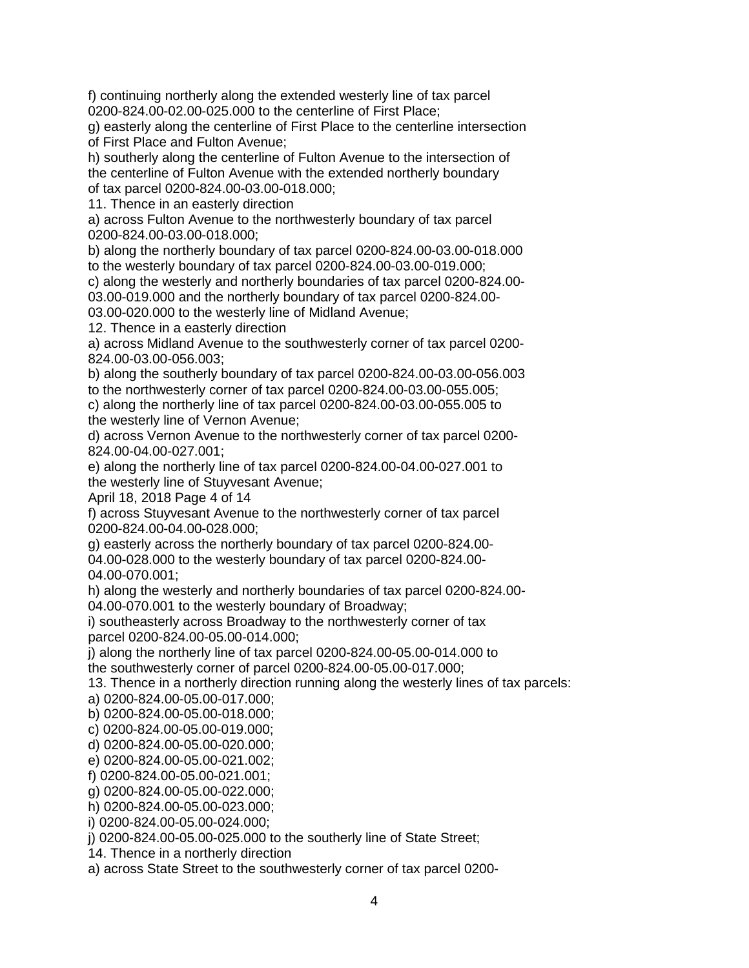f) continuing northerly along the extended westerly line of tax parcel 0200-824.00-02.00-025.000 to the centerline of First Place;

g) easterly along the centerline of First Place to the centerline intersection of First Place and Fulton Avenue;

h) southerly along the centerline of Fulton Avenue to the intersection of the centerline of Fulton Avenue with the extended northerly boundary of tax parcel 0200-824.00-03.00-018.000;

11. Thence in an easterly direction

a) across Fulton Avenue to the northwesterly boundary of tax parcel 0200-824.00-03.00-018.000;

b) along the northerly boundary of tax parcel 0200-824.00-03.00-018.000 to the westerly boundary of tax parcel 0200-824.00-03.00-019.000;

c) along the westerly and northerly boundaries of tax parcel 0200-824.00- 03.00-019.000 and the northerly boundary of tax parcel 0200-824.00-

03.00-020.000 to the westerly line of Midland Avenue;

12. Thence in a easterly direction

a) across Midland Avenue to the southwesterly corner of tax parcel 0200- 824.00-03.00-056.003;

b) along the southerly boundary of tax parcel 0200-824.00-03.00-056.003 to the northwesterly corner of tax parcel 0200-824.00-03.00-055.005;

c) along the northerly line of tax parcel 0200-824.00-03.00-055.005 to the westerly line of Vernon Avenue;

d) across Vernon Avenue to the northwesterly corner of tax parcel 0200- 824.00-04.00-027.001;

e) along the northerly line of tax parcel 0200-824.00-04.00-027.001 to the westerly line of Stuyvesant Avenue;

April 18, 2018 Page 4 of 14

f) across Stuyvesant Avenue to the northwesterly corner of tax parcel 0200-824.00-04.00-028.000;

g) easterly across the northerly boundary of tax parcel 0200-824.00- 04.00-028.000 to the westerly boundary of tax parcel 0200-824.00- 04.00-070.001;

h) along the westerly and northerly boundaries of tax parcel 0200-824.00- 04.00-070.001 to the westerly boundary of Broadway;

i) southeasterly across Broadway to the northwesterly corner of tax parcel 0200-824.00-05.00-014.000;

j) along the northerly line of tax parcel 0200-824.00-05.00-014.000 to

the southwesterly corner of parcel 0200-824.00-05.00-017.000;

13. Thence in a northerly direction running along the westerly lines of tax parcels:

a) 0200-824.00-05.00-017.000;

b) 0200-824.00-05.00-018.000;

c) 0200-824.00-05.00-019.000;

d) 0200-824.00-05.00-020.000;

e) 0200-824.00-05.00-021.002;

f) 0200-824.00-05.00-021.001;

g) 0200-824.00-05.00-022.000;

h) 0200-824.00-05.00-023.000;

i) 0200-824.00-05.00-024.000;

j) 0200-824.00-05.00-025.000 to the southerly line of State Street;

14. Thence in a northerly direction

a) across State Street to the southwesterly corner of tax parcel 0200-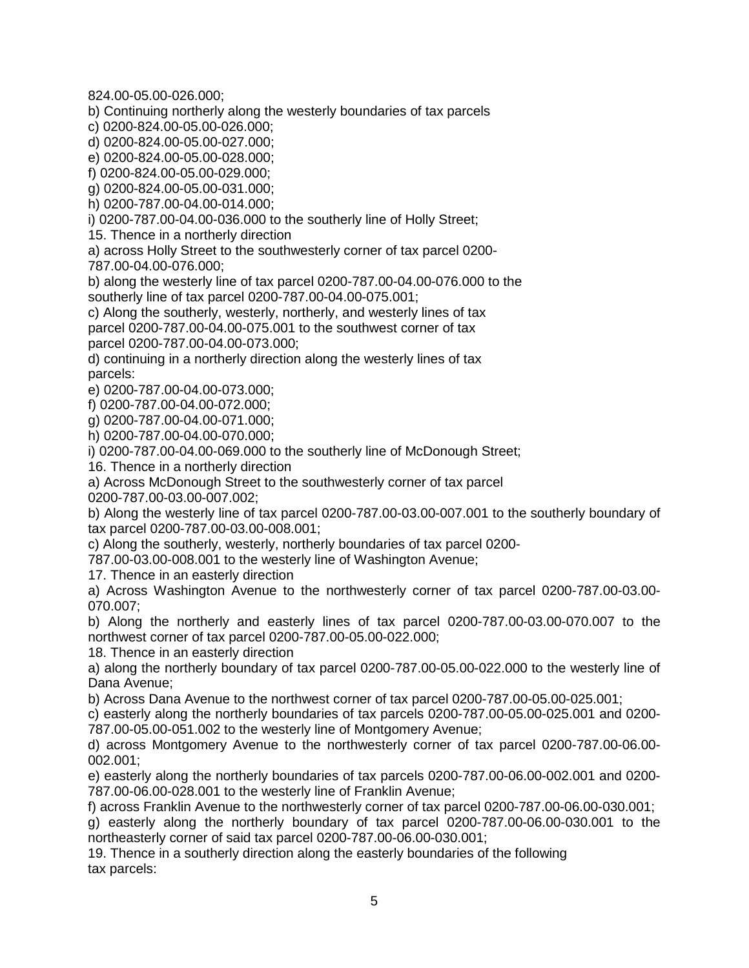824.00-05.00-026.000;

b) Continuing northerly along the westerly boundaries of tax parcels

c) 0200-824.00-05.00-026.000;

d) 0200-824.00-05.00-027.000;

e) 0200-824.00-05.00-028.000;

f) 0200-824.00-05.00-029.000;

g) 0200-824.00-05.00-031.000;

h) 0200-787.00-04.00-014.000;

i) 0200-787.00-04.00-036.000 to the southerly line of Holly Street;

15. Thence in a northerly direction

a) across Holly Street to the southwesterly corner of tax parcel 0200- 787.00-04.00-076.000;

b) along the westerly line of tax parcel 0200-787.00-04.00-076.000 to the southerly line of tax parcel 0200-787.00-04.00-075.001;

c) Along the southerly, westerly, northerly, and westerly lines of tax parcel 0200-787.00-04.00-075.001 to the southwest corner of tax parcel 0200-787.00-04.00-073.000;

d) continuing in a northerly direction along the westerly lines of tax parcels:

e) 0200-787.00-04.00-073.000;

f) 0200-787.00-04.00-072.000;

g) 0200-787.00-04.00-071.000;

h) 0200-787.00-04.00-070.000;

i) 0200-787.00-04.00-069.000 to the southerly line of McDonough Street;

16. Thence in a northerly direction

a) Across McDonough Street to the southwesterly corner of tax parcel

0200-787.00-03.00-007.002;

b) Along the westerly line of tax parcel 0200-787.00-03.00-007.001 to the southerly boundary of tax parcel 0200-787.00-03.00-008.001;

c) Along the southerly, westerly, northerly boundaries of tax parcel 0200-

787.00-03.00-008.001 to the westerly line of Washington Avenue;

17. Thence in an easterly direction

a) Across Washington Avenue to the northwesterly corner of tax parcel 0200-787.00-03.00- 070.007;

b) Along the northerly and easterly lines of tax parcel 0200-787.00-03.00-070.007 to the northwest corner of tax parcel 0200-787.00-05.00-022.000;

18. Thence in an easterly direction

a) along the northerly boundary of tax parcel 0200-787.00-05.00-022.000 to the westerly line of Dana Avenue;

b) Across Dana Avenue to the northwest corner of tax parcel 0200-787.00-05.00-025.001;

c) easterly along the northerly boundaries of tax parcels 0200-787.00-05.00-025.001 and 0200- 787.00-05.00-051.002 to the westerly line of Montgomery Avenue;

d) across Montgomery Avenue to the northwesterly corner of tax parcel 0200-787.00-06.00- 002.001;

e) easterly along the northerly boundaries of tax parcels 0200-787.00-06.00-002.001 and 0200- 787.00-06.00-028.001 to the westerly line of Franklin Avenue;

f) across Franklin Avenue to the northwesterly corner of tax parcel 0200-787.00-06.00-030.001;

g) easterly along the northerly boundary of tax parcel 0200-787.00-06.00-030.001 to the northeasterly corner of said tax parcel 0200-787.00-06.00-030.001;

19. Thence in a southerly direction along the easterly boundaries of the following tax parcels: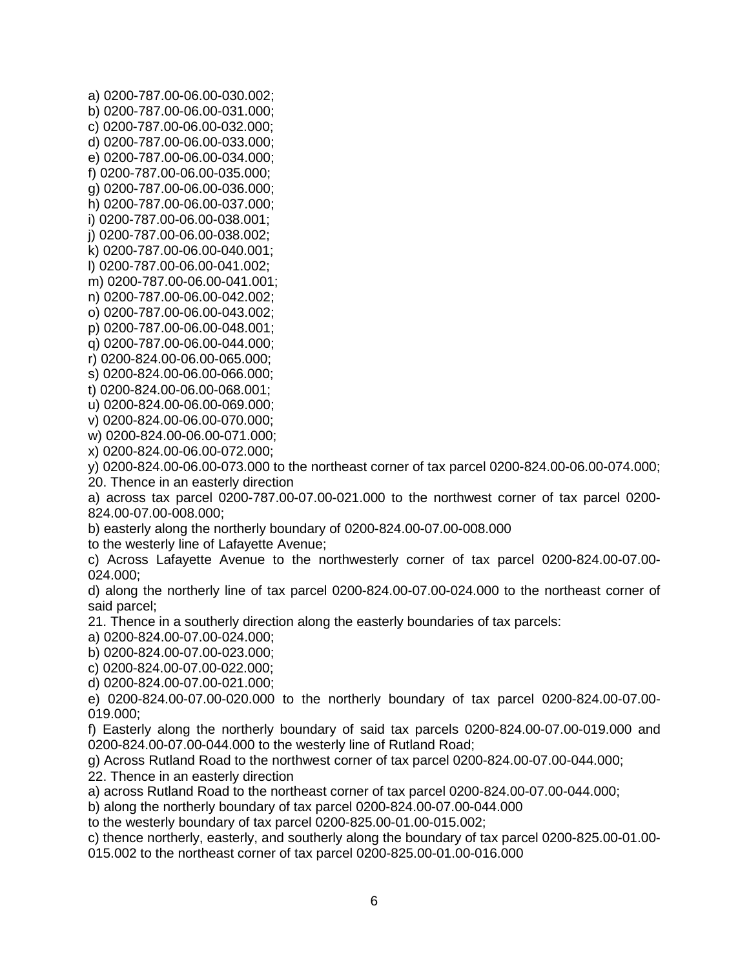a) 0200-787.00-06.00-030.002; b) 0200-787.00-06.00-031.000; c) 0200-787.00-06.00-032.000; d) 0200-787.00-06.00-033.000; e) 0200-787.00-06.00-034.000; f) 0200-787.00-06.00-035.000; g) 0200-787.00-06.00-036.000;

h) 0200-787.00-06.00-037.000;

i) 0200-787.00-06.00-038.001; j) 0200-787.00-06.00-038.002;

k) 0200-787.00-06.00-040.001;

l) 0200-787.00-06.00-041.002;

m) 0200-787.00-06.00-041.001;

n) 0200-787.00-06.00-042.002;

o) 0200-787.00-06.00-043.002;

p) 0200-787.00-06.00-048.001;

q) 0200-787.00-06.00-044.000; r) 0200-824.00-06.00-065.000;

s) 0200-824.00-06.00-066.000; t) 0200-824.00-06.00-068.001;

u) 0200-824.00-06.00-069.000;

v) 0200-824.00-06.00-070.000;

w) 0200-824.00-06.00-071.000;

x) 0200-824.00-06.00-072.000;

y) 0200-824.00-06.00-073.000 to the northeast corner of tax parcel 0200-824.00-06.00-074.000; 20. Thence in an easterly direction

a) across tax parcel 0200-787.00-07.00-021.000 to the northwest corner of tax parcel 0200- 824.00-07.00-008.000;

b) easterly along the northerly boundary of 0200-824.00-07.00-008.000

to the westerly line of Lafayette Avenue;

c) Across Lafayette Avenue to the northwesterly corner of tax parcel 0200-824.00-07.00- 024.000;

d) along the northerly line of tax parcel 0200-824.00-07.00-024.000 to the northeast corner of said parcel;

21. Thence in a southerly direction along the easterly boundaries of tax parcels:

a) 0200-824.00-07.00-024.000;

b) 0200-824.00-07.00-023.000;

c) 0200-824.00-07.00-022.000;

d) 0200-824.00-07.00-021.000;

e) 0200-824.00-07.00-020.000 to the northerly boundary of tax parcel 0200-824.00-07.00- 019.000;

f) Easterly along the northerly boundary of said tax parcels 0200-824.00-07.00-019.000 and 0200-824.00-07.00-044.000 to the westerly line of Rutland Road;

g) Across Rutland Road to the northwest corner of tax parcel 0200-824.00-07.00-044.000;

22. Thence in an easterly direction

a) across Rutland Road to the northeast corner of tax parcel 0200-824.00-07.00-044.000;

b) along the northerly boundary of tax parcel 0200-824.00-07.00-044.000

to the westerly boundary of tax parcel 0200-825.00-01.00-015.002;

c) thence northerly, easterly, and southerly along the boundary of tax parcel 0200-825.00-01.00- 015.002 to the northeast corner of tax parcel 0200-825.00-01.00-016.000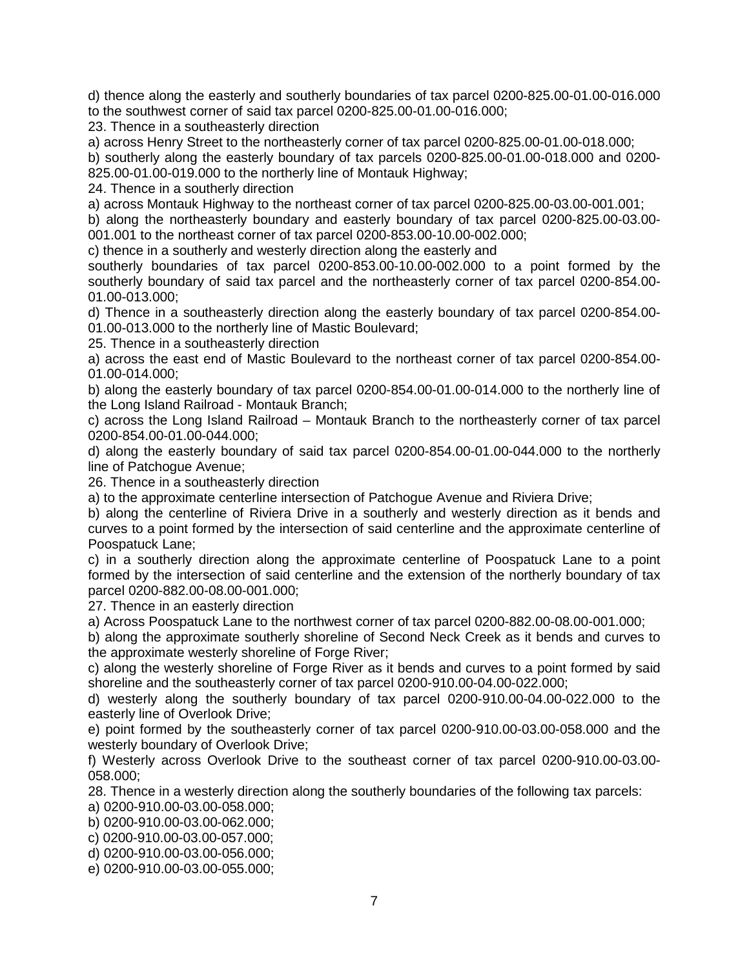d) thence along the easterly and southerly boundaries of tax parcel 0200-825.00-01.00-016.000 to the southwest corner of said tax parcel 0200-825.00-01.00-016.000;

23. Thence in a southeasterly direction

a) across Henry Street to the northeasterly corner of tax parcel 0200-825.00-01.00-018.000; b) southerly along the easterly boundary of tax parcels 0200-825.00-01.00-018.000 and 0200- 825.00-01.00-019.000 to the northerly line of Montauk Highway;

24. Thence in a southerly direction

a) across Montauk Highway to the northeast corner of tax parcel 0200-825.00-03.00-001.001;

b) along the northeasterly boundary and easterly boundary of tax parcel 0200-825.00-03.00- 001.001 to the northeast corner of tax parcel 0200-853.00-10.00-002.000;

c) thence in a southerly and westerly direction along the easterly and

southerly boundaries of tax parcel 0200-853.00-10.00-002.000 to a point formed by the southerly boundary of said tax parcel and the northeasterly corner of tax parcel 0200-854.00- 01.00-013.000;

d) Thence in a southeasterly direction along the easterly boundary of tax parcel 0200-854.00- 01.00-013.000 to the northerly line of Mastic Boulevard;

25. Thence in a southeasterly direction

a) across the east end of Mastic Boulevard to the northeast corner of tax parcel 0200-854.00- 01.00-014.000;

b) along the easterly boundary of tax parcel 0200-854.00-01.00-014.000 to the northerly line of the Long Island Railroad - Montauk Branch;

c) across the Long Island Railroad – Montauk Branch to the northeasterly corner of tax parcel 0200-854.00-01.00-044.000;

d) along the easterly boundary of said tax parcel 0200-854.00-01.00-044.000 to the northerly line of Patchogue Avenue;

26. Thence in a southeasterly direction

a) to the approximate centerline intersection of Patchogue Avenue and Riviera Drive;

b) along the centerline of Riviera Drive in a southerly and westerly direction as it bends and curves to a point formed by the intersection of said centerline and the approximate centerline of Poospatuck Lane;

c) in a southerly direction along the approximate centerline of Poospatuck Lane to a point formed by the intersection of said centerline and the extension of the northerly boundary of tax parcel 0200-882.00-08.00-001.000;

27. Thence in an easterly direction

a) Across Poospatuck Lane to the northwest corner of tax parcel 0200-882.00-08.00-001.000;

b) along the approximate southerly shoreline of Second Neck Creek as it bends and curves to the approximate westerly shoreline of Forge River;

c) along the westerly shoreline of Forge River as it bends and curves to a point formed by said shoreline and the southeasterly corner of tax parcel 0200-910.00-04.00-022.000;

d) westerly along the southerly boundary of tax parcel 0200-910.00-04.00-022.000 to the easterly line of Overlook Drive;

e) point formed by the southeasterly corner of tax parcel 0200-910.00-03.00-058.000 and the westerly boundary of Overlook Drive;

f) Westerly across Overlook Drive to the southeast corner of tax parcel 0200-910.00-03.00- 058.000;

28. Thence in a westerly direction along the southerly boundaries of the following tax parcels:

a) 0200-910.00-03.00-058.000;

b) 0200-910.00-03.00-062.000;

c) 0200-910.00-03.00-057.000;

d) 0200-910.00-03.00-056.000;

e) 0200-910.00-03.00-055.000;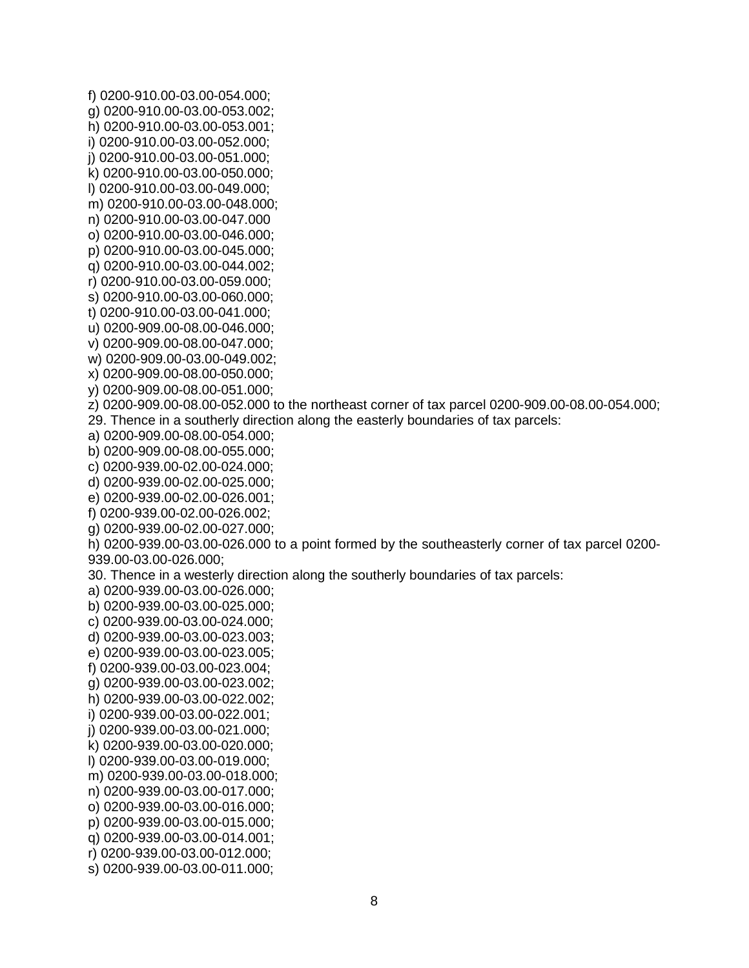f) 0200-910.00-03.00-054.000; g) 0200-910.00-03.00-053.002; h) 0200-910.00-03.00-053.001; i) 0200-910.00-03.00-052.000; j) 0200-910.00-03.00-051.000; k) 0200-910.00-03.00-050.000; l) 0200-910.00-03.00-049.000; m) 0200-910.00-03.00-048.000; n) 0200-910.00-03.00-047.000 o) 0200-910.00-03.00-046.000; p) 0200-910.00-03.00-045.000; q) 0200-910.00-03.00-044.002; r) 0200-910.00-03.00-059.000; s) 0200-910.00-03.00-060.000; t) 0200-910.00-03.00-041.000; u) 0200-909.00-08.00-046.000; v) 0200-909.00-08.00-047.000; w) 0200-909.00-03.00-049.002; x) 0200-909.00-08.00-050.000; y) 0200-909.00-08.00-051.000; z) 0200-909.00-08.00-052.000 to the northeast corner of tax parcel 0200-909.00-08.00-054.000; 29. Thence in a southerly direction along the easterly boundaries of tax parcels: a) 0200-909.00-08.00-054.000; b) 0200-909.00-08.00-055.000; c) 0200-939.00-02.00-024.000; d) 0200-939.00-02.00-025.000; e) 0200-939.00-02.00-026.001; f) 0200-939.00-02.00-026.002; g) 0200-939.00-02.00-027.000; h) 0200-939.00-03.00-026.000 to a point formed by the southeasterly corner of tax parcel 0200- 939.00-03.00-026.000; 30. Thence in a westerly direction along the southerly boundaries of tax parcels: a) 0200-939.00-03.00-026.000; b) 0200-939.00-03.00-025.000; c) 0200-939.00-03.00-024.000; d) 0200-939.00-03.00-023.003; e) 0200-939.00-03.00-023.005; f) 0200-939.00-03.00-023.004; g) 0200-939.00-03.00-023.002; h) 0200-939.00-03.00-022.002; i) 0200-939.00-03.00-022.001; j) 0200-939.00-03.00-021.000; k) 0200-939.00-03.00-020.000; l) 0200-939.00-03.00-019.000; m) 0200-939.00-03.00-018.000; n) 0200-939.00-03.00-017.000; o) 0200-939.00-03.00-016.000; p) 0200-939.00-03.00-015.000; q) 0200-939.00-03.00-014.001; r) 0200-939.00-03.00-012.000; s) 0200-939.00-03.00-011.000;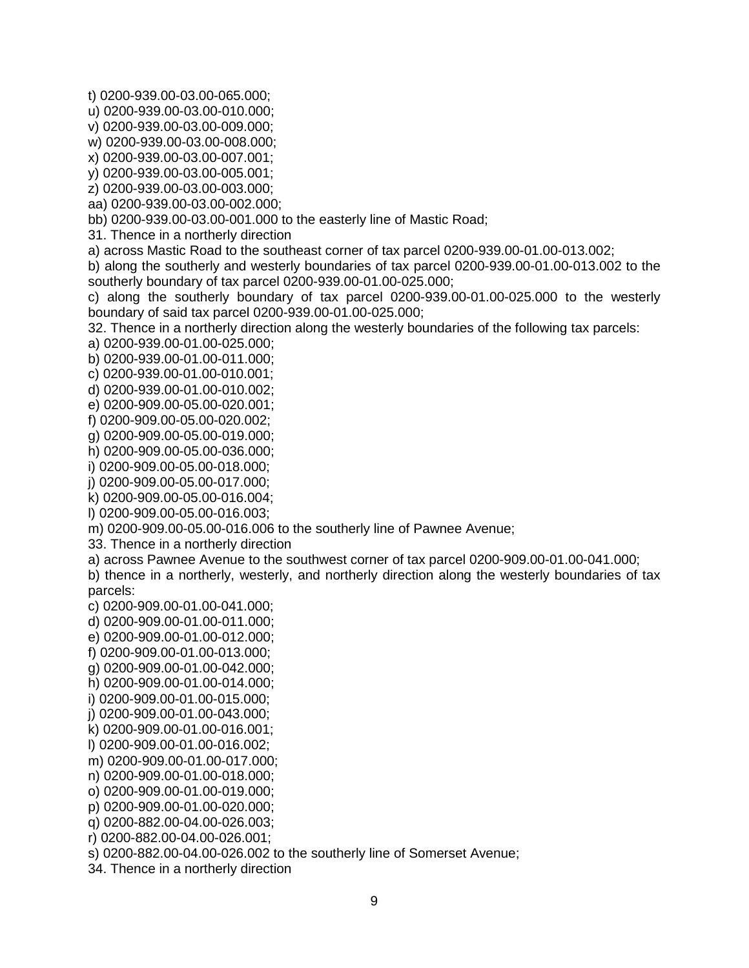t) 0200-939.00-03.00-065.000;

u) 0200-939.00-03.00-010.000;

v) 0200-939.00-03.00-009.000;

w) 0200-939.00-03.00-008.000;

x) 0200-939.00-03.00-007.001;

y) 0200-939.00-03.00-005.001;

z) 0200-939.00-03.00-003.000;

aa) 0200-939.00-03.00-002.000;

bb) 0200-939.00-03.00-001.000 to the easterly line of Mastic Road;

31. Thence in a northerly direction

a) across Mastic Road to the southeast corner of tax parcel 0200-939.00-01.00-013.002;

b) along the southerly and westerly boundaries of tax parcel 0200-939.00-01.00-013.002 to the southerly boundary of tax parcel 0200-939.00-01.00-025.000;

c) along the southerly boundary of tax parcel 0200-939.00-01.00-025.000 to the westerly boundary of said tax parcel 0200-939.00-01.00-025.000;

32. Thence in a northerly direction along the westerly boundaries of the following tax parcels:

a) 0200-939.00-01.00-025.000;

b) 0200-939.00-01.00-011.000;

c) 0200-939.00-01.00-010.001;

d) 0200-939.00-01.00-010.002;

e) 0200-909.00-05.00-020.001;

f) 0200-909.00-05.00-020.002;

g) 0200-909.00-05.00-019.000;

h) 0200-909.00-05.00-036.000;

i) 0200-909.00-05.00-018.000;

j) 0200-909.00-05.00-017.000;

k) 0200-909.00-05.00-016.004;

l) 0200-909.00-05.00-016.003;

m) 0200-909.00-05.00-016.006 to the southerly line of Pawnee Avenue;

33. Thence in a northerly direction

a) across Pawnee Avenue to the southwest corner of tax parcel 0200-909.00-01.00-041.000;

b) thence in a northerly, westerly, and northerly direction along the westerly boundaries of tax parcels:

c) 0200-909.00-01.00-041.000;

d) 0200-909.00-01.00-011.000;

e) 0200-909.00-01.00-012.000;

f) 0200-909.00-01.00-013.000;

g) 0200-909.00-01.00-042.000;

h) 0200-909.00-01.00-014.000;

i) 0200-909.00-01.00-015.000; j) 0200-909.00-01.00-043.000;

k) 0200-909.00-01.00-016.001;

l) 0200-909.00-01.00-016.002;

m) 0200-909.00-01.00-017.000;

n) 0200-909.00-01.00-018.000;

o) 0200-909.00-01.00-019.000;

p) 0200-909.00-01.00-020.000;

q) 0200-882.00-04.00-026.003;

r) 0200-882.00-04.00-026.001;

s) 0200-882.00-04.00-026.002 to the southerly line of Somerset Avenue;

34. Thence in a northerly direction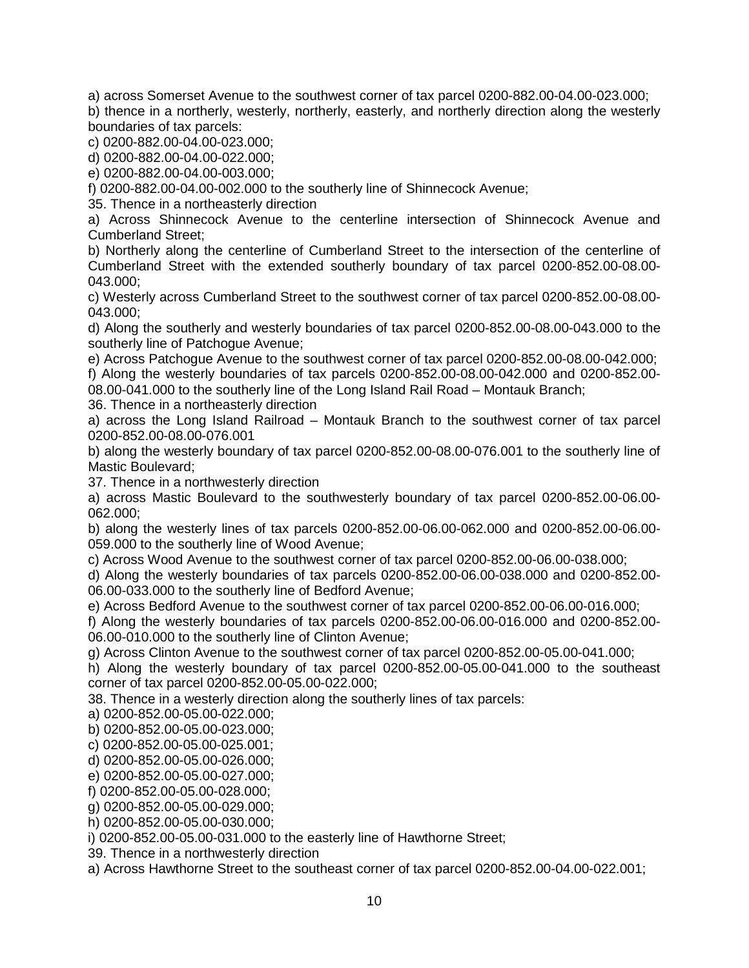a) across Somerset Avenue to the southwest corner of tax parcel 0200-882.00-04.00-023.000;

b) thence in a northerly, westerly, northerly, easterly, and northerly direction along the westerly boundaries of tax parcels:

c) 0200-882.00-04.00-023.000;

d) 0200-882.00-04.00-022.000;

e) 0200-882.00-04.00-003.000;

f) 0200-882.00-04.00-002.000 to the southerly line of Shinnecock Avenue;

35. Thence in a northeasterly direction

a) Across Shinnecock Avenue to the centerline intersection of Shinnecock Avenue and Cumberland Street;

b) Northerly along the centerline of Cumberland Street to the intersection of the centerline of Cumberland Street with the extended southerly boundary of tax parcel 0200-852.00-08.00- 043.000;

c) Westerly across Cumberland Street to the southwest corner of tax parcel 0200-852.00-08.00- 043.000;

d) Along the southerly and westerly boundaries of tax parcel 0200-852.00-08.00-043.000 to the southerly line of Patchogue Avenue;

e) Across Patchogue Avenue to the southwest corner of tax parcel 0200-852.00-08.00-042.000;

f) Along the westerly boundaries of tax parcels 0200-852.00-08.00-042.000 and 0200-852.00- 08.00-041.000 to the southerly line of the Long Island Rail Road – Montauk Branch;

36. Thence in a northeasterly direction

a) across the Long Island Railroad – Montauk Branch to the southwest corner of tax parcel 0200-852.00-08.00-076.001

b) along the westerly boundary of tax parcel 0200-852.00-08.00-076.001 to the southerly line of Mastic Boulevard;

37. Thence in a northwesterly direction

a) across Mastic Boulevard to the southwesterly boundary of tax parcel 0200-852.00-06.00- 062.000;

b) along the westerly lines of tax parcels 0200-852.00-06.00-062.000 and 0200-852.00-06.00- 059.000 to the southerly line of Wood Avenue;

c) Across Wood Avenue to the southwest corner of tax parcel 0200-852.00-06.00-038.000;

d) Along the westerly boundaries of tax parcels 0200-852.00-06.00-038.000 and 0200-852.00- 06.00-033.000 to the southerly line of Bedford Avenue;

e) Across Bedford Avenue to the southwest corner of tax parcel 0200-852.00-06.00-016.000;

f) Along the westerly boundaries of tax parcels 0200-852.00-06.00-016.000 and 0200-852.00- 06.00-010.000 to the southerly line of Clinton Avenue;

g) Across Clinton Avenue to the southwest corner of tax parcel 0200-852.00-05.00-041.000;

h) Along the westerly boundary of tax parcel 0200-852.00-05.00-041.000 to the southeast corner of tax parcel 0200-852.00-05.00-022.000;

38. Thence in a westerly direction along the southerly lines of tax parcels:

a) 0200-852.00-05.00-022.000;

b) 0200-852.00-05.00-023.000;

c) 0200-852.00-05.00-025.001;

d) 0200-852.00-05.00-026.000;

e) 0200-852.00-05.00-027.000;

f) 0200-852.00-05.00-028.000;

g) 0200-852.00-05.00-029.000;

h) 0200-852.00-05.00-030.000;

i) 0200-852.00-05.00-031.000 to the easterly line of Hawthorne Street;

39. Thence in a northwesterly direction

a) Across Hawthorne Street to the southeast corner of tax parcel 0200-852.00-04.00-022.001;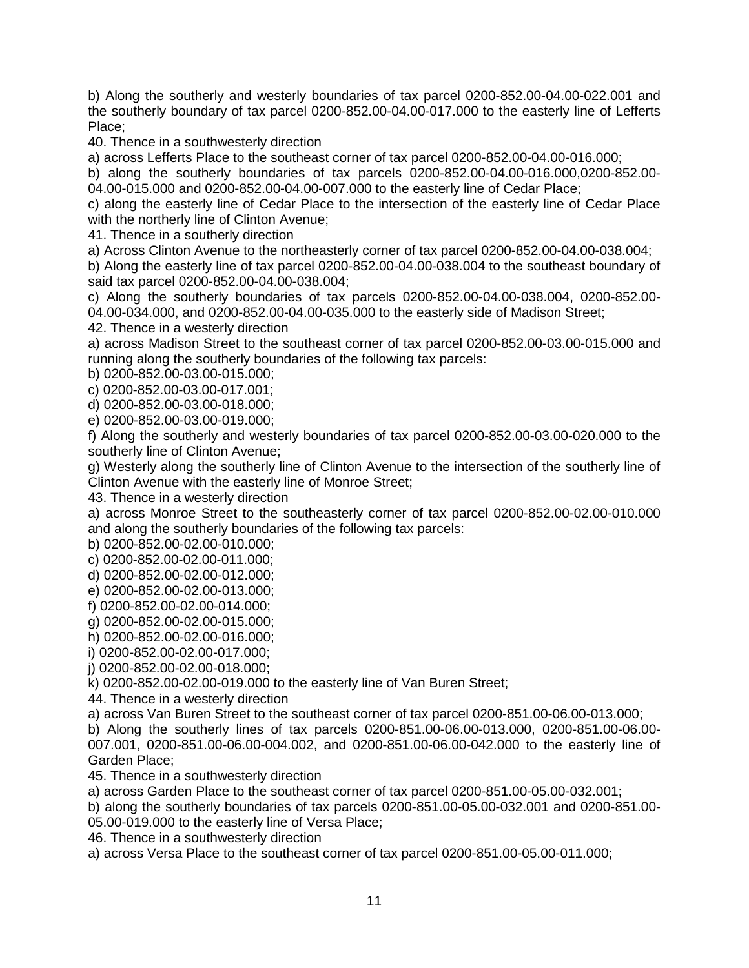b) Along the southerly and westerly boundaries of tax parcel 0200-852.00-04.00-022.001 and the southerly boundary of tax parcel 0200-852.00-04.00-017.000 to the easterly line of Lefferts Place;

40. Thence in a southwesterly direction

a) across Lefferts Place to the southeast corner of tax parcel 0200-852.00-04.00-016.000;

b) along the southerly boundaries of tax parcels 0200-852.00-04.00-016.000,0200-852.00- 04.00-015.000 and 0200-852.00-04.00-007.000 to the easterly line of Cedar Place;

c) along the easterly line of Cedar Place to the intersection of the easterly line of Cedar Place with the northerly line of Clinton Avenue;

41. Thence in a southerly direction

a) Across Clinton Avenue to the northeasterly corner of tax parcel 0200-852.00-04.00-038.004;

b) Along the easterly line of tax parcel 0200-852.00-04.00-038.004 to the southeast boundary of said tax parcel 0200-852.00-04.00-038.004;

c) Along the southerly boundaries of tax parcels 0200-852.00-04.00-038.004, 0200-852.00- 04.00-034.000, and 0200-852.00-04.00-035.000 to the easterly side of Madison Street;

42. Thence in a westerly direction

a) across Madison Street to the southeast corner of tax parcel 0200-852.00-03.00-015.000 and running along the southerly boundaries of the following tax parcels:

b) 0200-852.00-03.00-015.000;

c) 0200-852.00-03.00-017.001;

d) 0200-852.00-03.00-018.000;

e) 0200-852.00-03.00-019.000;

f) Along the southerly and westerly boundaries of tax parcel 0200-852.00-03.00-020.000 to the southerly line of Clinton Avenue;

g) Westerly along the southerly line of Clinton Avenue to the intersection of the southerly line of Clinton Avenue with the easterly line of Monroe Street;

43. Thence in a westerly direction

a) across Monroe Street to the southeasterly corner of tax parcel 0200-852.00-02.00-010.000 and along the southerly boundaries of the following tax parcels:

b) 0200-852.00-02.00-010.000;

c) 0200-852.00-02.00-011.000;

d) 0200-852.00-02.00-012.000;

e) 0200-852.00-02.00-013.000;

f) 0200-852.00-02.00-014.000;

g) 0200-852.00-02.00-015.000;

h) 0200-852.00-02.00-016.000;

i) 0200-852.00-02.00-017.000;

j) 0200-852.00-02.00-018.000;

k) 0200-852.00-02.00-019.000 to the easterly line of Van Buren Street;

44. Thence in a westerly direction

a) across Van Buren Street to the southeast corner of tax parcel 0200-851.00-06.00-013.000;

b) Along the southerly lines of tax parcels 0200-851.00-06.00-013.000, 0200-851.00-06.00- 007.001, 0200-851.00-06.00-004.002, and 0200-851.00-06.00-042.000 to the easterly line of Garden Place;

45. Thence in a southwesterly direction

a) across Garden Place to the southeast corner of tax parcel 0200-851.00-05.00-032.001;

b) along the southerly boundaries of tax parcels 0200-851.00-05.00-032.001 and 0200-851.00- 05.00-019.000 to the easterly line of Versa Place;

46. Thence in a southwesterly direction

a) across Versa Place to the southeast corner of tax parcel 0200-851.00-05.00-011.000;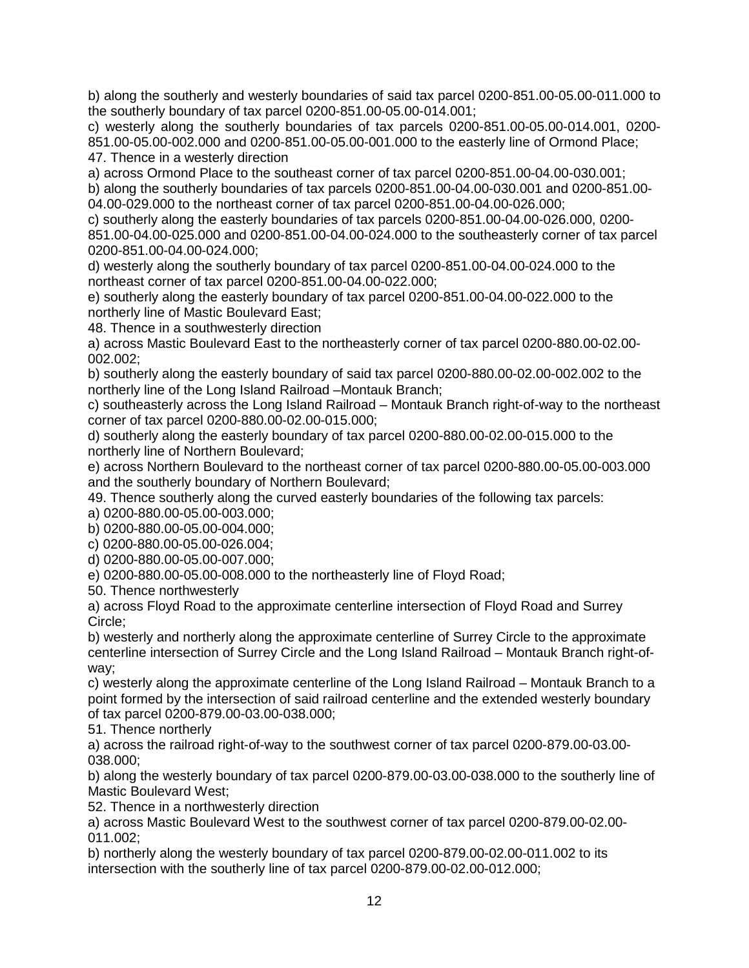b) along the southerly and westerly boundaries of said tax parcel 0200-851.00-05.00-011.000 to the southerly boundary of tax parcel 0200-851.00-05.00-014.001;

c) westerly along the southerly boundaries of tax parcels 0200-851.00-05.00-014.001, 0200- 851.00-05.00-002.000 and 0200-851.00-05.00-001.000 to the easterly line of Ormond Place; 47. Thence in a westerly direction

a) across Ormond Place to the southeast corner of tax parcel 0200-851.00-04.00-030.001;

b) along the southerly boundaries of tax parcels 0200-851.00-04.00-030.001 and 0200-851.00- 04.00-029.000 to the northeast corner of tax parcel 0200-851.00-04.00-026.000;

c) southerly along the easterly boundaries of tax parcels 0200-851.00-04.00-026.000, 0200- 851.00-04.00-025.000 and 0200-851.00-04.00-024.000 to the southeasterly corner of tax parcel 0200-851.00-04.00-024.000;

d) westerly along the southerly boundary of tax parcel 0200-851.00-04.00-024.000 to the northeast corner of tax parcel 0200-851.00-04.00-022.000;

e) southerly along the easterly boundary of tax parcel 0200-851.00-04.00-022.000 to the northerly line of Mastic Boulevard East;

48. Thence in a southwesterly direction

a) across Mastic Boulevard East to the northeasterly corner of tax parcel 0200-880.00-02.00- 002.002;

b) southerly along the easterly boundary of said tax parcel 0200-880.00-02.00-002.002 to the northerly line of the Long Island Railroad –Montauk Branch;

c) southeasterly across the Long Island Railroad – Montauk Branch right-of-way to the northeast corner of tax parcel 0200-880.00-02.00-015.000;

d) southerly along the easterly boundary of tax parcel 0200-880.00-02.00-015.000 to the northerly line of Northern Boulevard;

e) across Northern Boulevard to the northeast corner of tax parcel 0200-880.00-05.00-003.000 and the southerly boundary of Northern Boulevard;

49. Thence southerly along the curved easterly boundaries of the following tax parcels:

a) 0200-880.00-05.00-003.000;

b) 0200-880.00-05.00-004.000;

c) 0200-880.00-05.00-026.004;

d) 0200-880.00-05.00-007.000;

e) 0200-880.00-05.00-008.000 to the northeasterly line of Floyd Road;

50. Thence northwesterly

a) across Floyd Road to the approximate centerline intersection of Floyd Road and Surrey Circle;

b) westerly and northerly along the approximate centerline of Surrey Circle to the approximate centerline intersection of Surrey Circle and the Long Island Railroad – Montauk Branch right-ofway;

c) westerly along the approximate centerline of the Long Island Railroad – Montauk Branch to a point formed by the intersection of said railroad centerline and the extended westerly boundary of tax parcel 0200-879.00-03.00-038.000;

51. Thence northerly

a) across the railroad right-of-way to the southwest corner of tax parcel 0200-879.00-03.00- 038.000;

b) along the westerly boundary of tax parcel 0200-879.00-03.00-038.000 to the southerly line of Mastic Boulevard West;

52. Thence in a northwesterly direction

a) across Mastic Boulevard West to the southwest corner of tax parcel 0200-879.00-02.00- 011.002;

b) northerly along the westerly boundary of tax parcel 0200-879.00-02.00-011.002 to its intersection with the southerly line of tax parcel 0200-879.00-02.00-012.000;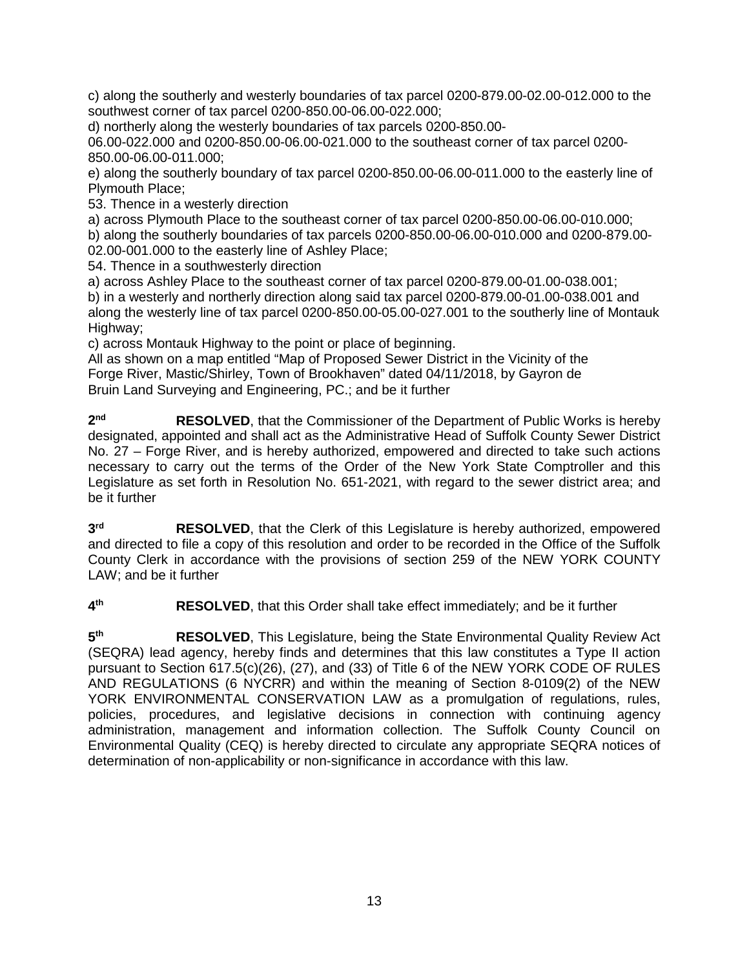c) along the southerly and westerly boundaries of tax parcel 0200-879.00-02.00-012.000 to the southwest corner of tax parcel 0200-850.00-06.00-022.000;

d) northerly along the westerly boundaries of tax parcels 0200-850.00-

06.00-022.000 and 0200-850.00-06.00-021.000 to the southeast corner of tax parcel 0200- 850.00-06.00-011.000;

e) along the southerly boundary of tax parcel 0200-850.00-06.00-011.000 to the easterly line of Plymouth Place;

53. Thence in a westerly direction

a) across Plymouth Place to the southeast corner of tax parcel 0200-850.00-06.00-010.000; b) along the southerly boundaries of tax parcels 0200-850.00-06.00-010.000 and 0200-879.00- 02.00-001.000 to the easterly line of Ashley Place;

54. Thence in a southwesterly direction

a) across Ashley Place to the southeast corner of tax parcel 0200-879.00-01.00-038.001; b) in a westerly and northerly direction along said tax parcel 0200-879.00-01.00-038.001 and along the westerly line of tax parcel 0200-850.00-05.00-027.001 to the southerly line of Montauk Highway;

c) across Montauk Highway to the point or place of beginning.

All as shown on a map entitled "Map of Proposed Sewer District in the Vicinity of the Forge River, Mastic/Shirley, Town of Brookhaven" dated 04/11/2018, by Gayron de Bruin Land Surveying and Engineering, PC.; and be it further

**2nd RESOLVED**, that the Commissioner of the Department of Public Works is hereby designated, appointed and shall act as the Administrative Head of Suffolk County Sewer District No. 27 – Forge River, and is hereby authorized, empowered and directed to take such actions necessary to carry out the terms of the Order of the New York State Comptroller and this Legislature as set forth in Resolution No. 651-2021, with regard to the sewer district area; and be it further

**3rd RESOLVED**, that the Clerk of this Legislature is hereby authorized, empowered and directed to file a copy of this resolution and order to be recorded in the Office of the Suffolk County Clerk in accordance with the provisions of section 259 of the NEW YORK COUNTY LAW; and be it further

**4th RESOLVED**, that this Order shall take effect immediately; and be it further

**5th RESOLVED**, This Legislature, being the State Environmental Quality Review Act (SEQRA) lead agency, hereby finds and determines that this law constitutes a Type II action pursuant to Section 617.5(c)(26), (27), and (33) of Title 6 of the NEW YORK CODE OF RULES AND REGULATIONS (6 NYCRR) and within the meaning of Section 8-0109(2) of the NEW YORK ENVIRONMENTAL CONSERVATION LAW as a promulgation of regulations, rules, policies, procedures, and legislative decisions in connection with continuing agency administration, management and information collection. The Suffolk County Council on Environmental Quality (CEQ) is hereby directed to circulate any appropriate SEQRA notices of determination of non-applicability or non-significance in accordance with this law.